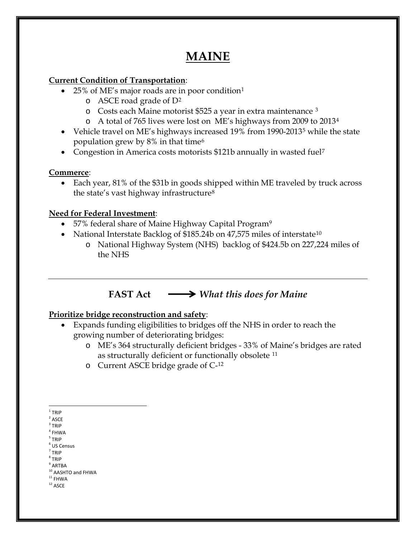# **MAINE**

### **Current Condition of Transportation**:

- 25% of ME's major roads are in poor condition[1](#page-0-0)
	- o ASCE road grade of D[2](#page-0-1)
	- o Costs each Maine motorist \$525 a year in extra maintenance [3](#page-0-2)
	- o A total of 765 lives were lost on ME's highways from 2009 to 2013[4](#page-0-3)
- Vehicle travel on ME's highways increased 19% from 1990-2013<sup>[5](#page-0-4)</sup> while the state population grew by  $8\%$  in that time<sup>[6](#page-0-5)</sup>
- Congestion in America costs motorists \$121b annually in wasted fuel<sup>[7](#page-0-6)</sup>

## **Commerce**:

• Each year, 81% of the \$31b in goods shipped within ME traveled by truck across the state's vast highway infrastructure[8](#page-0-7)

## **Need for Federal Investment**:

- 57% federal share of Maine Highway Capital Program<sup>[9](#page-0-8)</sup>
- National Interstate Backlog of \$185.24b on 47,575 miles of interstate<sup>[10](#page-0-9)</sup>
	- o National Highway System (NHS) backlog of \$424.5b on 227,224 miles of the NHS

## **FAST Act** *What this does for Maine*

## **Prioritize bridge reconstruction and safety**:

- Expands funding eligibilities to bridges off the NHS in order to reach the growing number of deteriorating bridges:
	- o ME's 364 structurally deficient bridges 33% of Maine's bridges are rated as structurally deficient or functionally obsolete [11](#page-0-10)
	- o Current ASCE bridge grade of C-[12](#page-0-11)

<span id="page-0-7"></span><span id="page-0-6"></span><sup>8</sup> TRIP

<span id="page-0-0"></span> $1$  TRIP

<span id="page-0-1"></span> $2$  ASCE

<span id="page-0-2"></span> $3$  TRIP

<span id="page-0-3"></span> $4$  FHWA <sup>5</sup> TRIP

<span id="page-0-5"></span><span id="page-0-4"></span> $<sup>6</sup>$  US Census</sup>

 $<sup>7</sup>$  TRIP</sup>

<span id="page-0-8"></span> $^9$  ARTBA

<span id="page-0-9"></span> $10$  AASHTO and FHWA<br> $11$  FHWA

<span id="page-0-11"></span><span id="page-0-10"></span> $^{\rm 12}$  ASCE